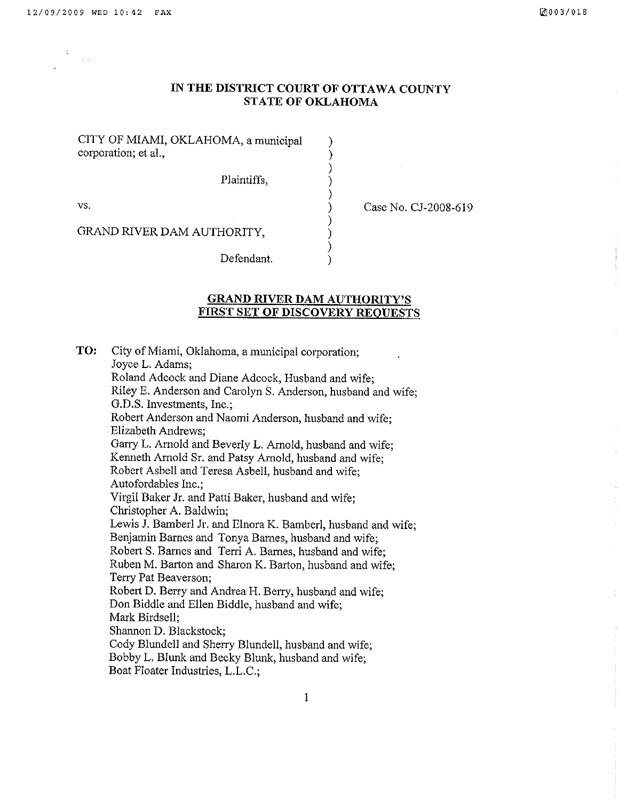$\ddot{\phantom{a}}$ 

## IN THE DISTRICT COURT OF OTTAWA COUNTY **STATE OF OKLAHOMA**

 $\lambda$ 

 $\mathcal{E}$ 

 $\mathcal{E}$ 

CITY OF MIAMI, OKLAHOMA, a municipal corporation; et al.,

Plaintiffs.

VS.

Case No. CJ-2008-619

GRAND RIVER DAM AUTHORITY,

Defendant.

## **GRAND RIVER DAM AUTHORITY'S FIRST SET OF DISCOVERY REOUESTS**

TO: City of Miami, Oklahoma, a municipal corporation: Joyce L. Adams; Roland Adcock and Diane Adcock, Husband and wife: Riley E. Anderson and Carolyn S. Anderson, husband and wife: G.D.S. Investments, Inc.; Robert Anderson and Naomi Anderson, husband and wife: Elizabeth Andrews: Garry L. Arnold and Beverly L. Arnold, husband and wife: Kenneth Arnold Sr. and Patsy Arnold, husband and wife; Robert Asbell and Teresa Asbell, husband and wife; Autofordables Inc.: Virgil Baker Jr. and Patti Baker, husband and wife; Christopher A. Baldwin; Lewis J. Bamberl Jr. and Elnora K. Bamberl, husband and wife; Benjamin Barnes and Tonya Barnes, husband and wife; Robert S. Barnes and Terri A. Barnes, husband and wife; Ruben M. Barton and Sharon K. Barton, husband and wife: Terry Pat Beaverson; Robert D. Berry and Andrea H. Berry, husband and wife: Don Biddle and Ellen Biddle, husband and wife; Mark Birdsell: Shannon D. Blackstock: Cody Blundell and Sherry Blundell, husband and wife; Bobby L. Blunk and Becky Blunk, husband and wife; Boat Floater Industries, L.L.C.;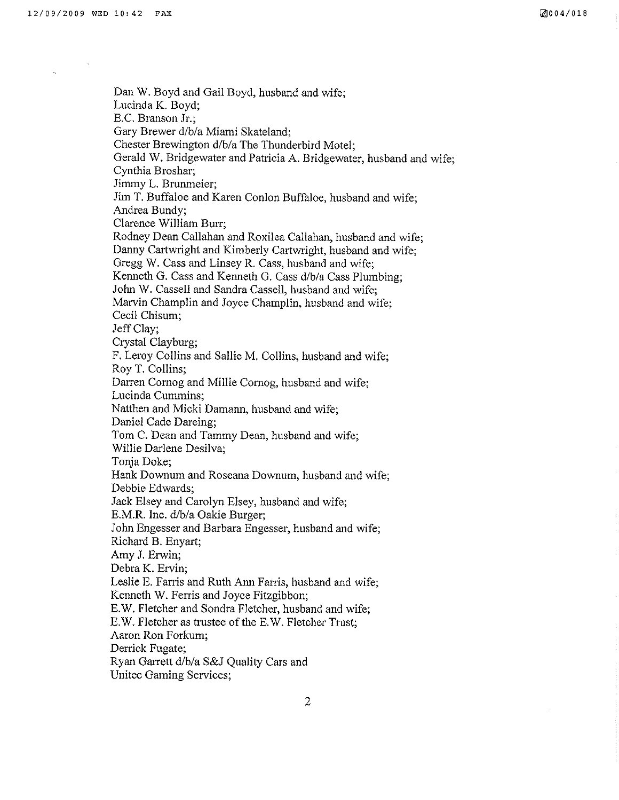Dan W. Boyd and Gail Boyd, husband and wife; Lucinda K. Boyd; E.C. Branson Jr.; Gary Brewer d/b/a Miami Skateland; Chester Brewington d/b/a The Thunderbird Motel: Gerald W. Bridgewater and Patricia A. Bridgewater, husband and wife; Cynthia Broshar; Jimmy L. Brunmeier: Jim T. Buffaloe and Karen Conlon Buffaloe, husband and wife; Andrea Bundy; Clarence William Burr; Rodney Dean Callahan and Roxilea Callahan, husband and wife; Danny Cartwright and Kimberly Cartwright, husband and wife; Gregg V/. Cass and Linsey R. Cass, husband and wife; Kenneth G, Cass and Kenneth G. Cass d/b/a Cass Plumbing; John W. Cassell and Sandra Cassell, husband and wife; Marvin Champlin and Joyce Champlin, husband and wife; Cecil Chisum; Jeff Clay; Crystal Clayburg; F. Leroy Collins and Sallie M. Collins, husband and wife; Roy T. Collins; Darren Comog and Millie Cornog, husband and wife; Lucinda Cummins: Natthen and Micki Damann, husband and wife; Daniel Cade Dareing; Tom C. Dean and Tammy Dean, husband and wife; Willie Darlene Desilva; Tonja Doke; Hank Downum and Roseana Downum, husband and wife; Debbie Edwards; Jack Elsey and Carolyn Elsey, husband and wife; E.M.R. Inc. d/b/a Oakie Burger; John Engesser and Barbara Engesser, husband and wife; Richard B. Enyart; Amy J. Erwin; Debra K. Ervin; Leslie E. Farris and Ruth Ann Farris, husband and wife; Kenneth W. Ferris and Joyce Fitzgibbon; E.W. Fletcher and Sondra Fletcher, husband and wife; E.W. Fletcher as trustee of the E.W. Fletcher Trust; Aaron Ron Forkum; Derrick Fugate; Ryan Garrett d/b/a S&J Quality Cars and Unitec Gaming Services;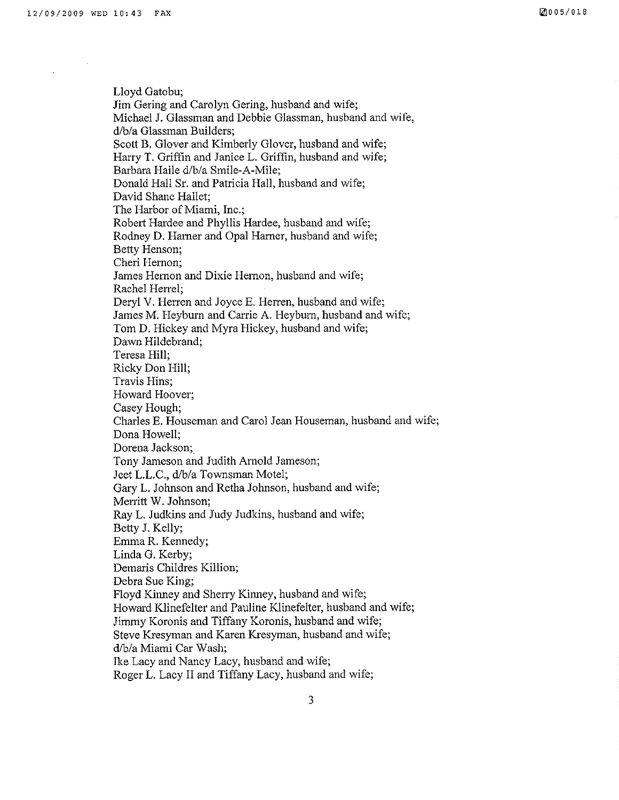Lloyd Gatobu; Jim Gering and Carolyn Gering, husband and wife; Michael J. Glassman and Debbie Glassman, husband and wife, d/b/a Glassman Builders; Scott B. Glover and Kimberly Glover, husband and wife; Harry T. Griffin and Janice L. Griffin, husband and wife; Barbara Haile d/b/a Smile-A-Mile; Donald Hall Sr. and Patricia Hall, husband and wife; David Shane Hallet; The Harbor of Miami, Inc.; Robert Hardee and Phyllis Hardee, husband and wife; Rodney D. Harner and Opal Harner, husband and wife; Betty Henson; Cheri Hernon; James Hernon and Dixie Hemon, husband and wife; Rachel Herrel; Deryl V. Herren and Joyce E. Herren, husband and wife; James M. Heyburn and Carrie A. Heyburn, husband and wife; Tom D. Hickey and Myra Hickey, husband and wife; Dawn Hildebrand; Teresa Híll; Ricky Don Hill; Travis Hins; Howard Hoover; Casey Hough; Charles E. Houseman and Carol Jean Houseman, husband and wife; Dona Howell; Dorena Jackson;. Tony Jameson and Judith Arnold Jameson; Jeet L.L.C., d/b/a Townsman Motel; Gary L. Johnson and Retha Johnson, husband and wife; Merritt W. Johnson; Ray L. Judkins and Judy Judkins, husband and wife; Betty J. Kelly; Emma R. Kennedy; Linda G. Kerby; Demaris Childres Killion; Debra Sue King; Floyd Kinney and Sherry Kinney, husband and wife; Howard Klinefelter and Pauline Klinefelter, husband and wife; Jimmy Koronis and Tiffany Koronis, husband and wife; Steve Kresyman and Karen Kresyman, husband and wife; d/b/a Miami Car Wash; Ike Lacy and Nancy Lacy, husband and wife; Roger L.Lacy II and Tiffany Lacy, husband and wife;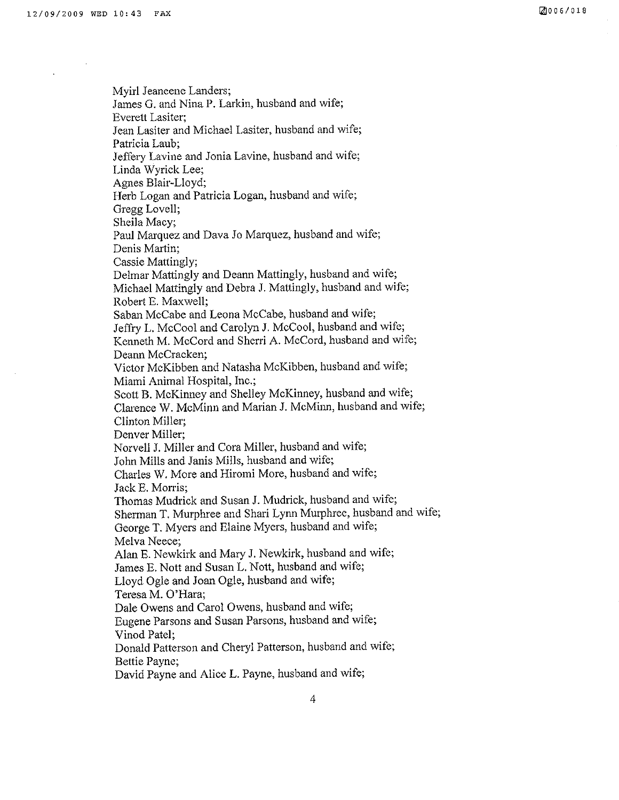Myirl Jeaneene Landers; James G. and Nina P. Larkin, husband and wife; Everett Lasiter; Jean Lasiter and Michael Lasiter, husband and wife; Patricia Laub; Jeffery Lavine and Jonia Lavine, husband and wife; Linda Wyrick Lee; Agnes Blair-Lloyd; Herb Logan and Patricia Logan, husband and wife; Gregg Lovell; Sheila Macy; Paul Marquez and Dava Jo Marquez, husband and wife; Denis Martin; Cassie Mattingly; Delmar Mattingly and Deann Mattingly, husband and wife; Michael Mattingly and Debra J. Mattingly, husband and wife; Robert E. Maxwell; Saban McCabe and Leona McCabe, husband and wife; Jeffry L. McCool and Carolyn J. McCool, husband and wife; Kenneth M. McCord and Sherri A. McCord, husband and wife; Deann McCracken; Victor McKibben and Natasha McKibben, husband and wife; Miami Animal Hospital, Inc.; Scott B. McKinney and Shelley McKinney, husband and wife; Clarence W. McMinn and Marian J. McMinn, husband and wife; Clinton Miller; Denver Miller; Norvell J. Miller and Cora Miller, husband and wife; John Mills and Janis Mills, husband and wife; Charles W. More and Hiromi More, husband and wife; Jack E. Morris; Thomas Mudrick and Susan J. Mudrick, husband and wife; Sherman T. Murphree and Shari Lynn Murphree, husband and wife; George T. Myers and Elaine Myers, husband and wife; Melva Neece; Alan E. Newkirk and Mary J. Newkirk, husband and wife; James E. Nott and Susan L. Nott, husband and wife; Lloyd Ogle and Joan Ogle, husband and wife; Teresa M. O'Hara; Dale Owens and Carol Owens, husband and wife; Eugene Parsons and Susan Parsons, husband and wife; Vinod Patel; Donatd Patterson and Cheryl Patterson, husband and wife; Bettie Payne; David Payne and Alice L. Payne, husband and wife;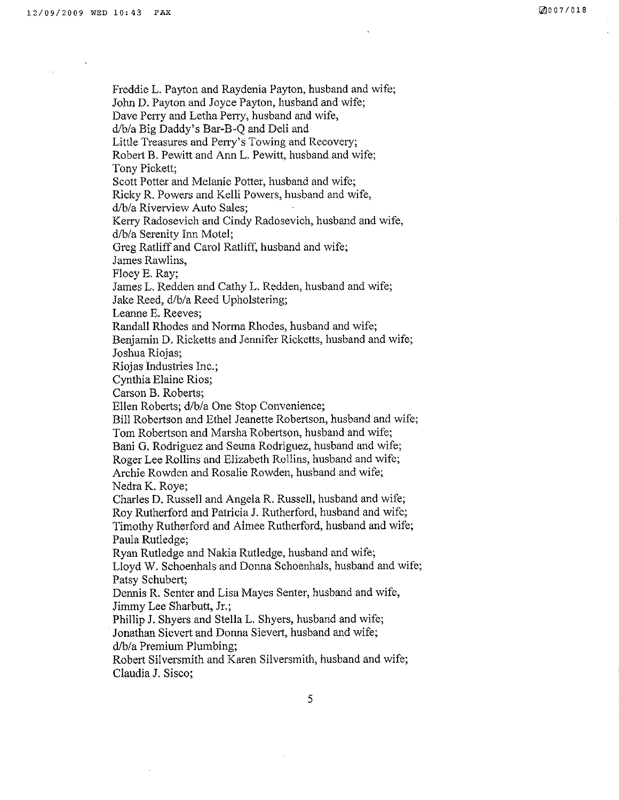Freddie L. Payton and Raydenia Payton, husband and wife; John D. Payton and Joyce Payton, husband and wife; Dave Perry and Letha Perry, husband and wife, d/b/a Big Daddy's Bar-B-Q and Deli and Little Treasures and Perry's Towing and Recovery; Robert B. Pewitt and Ann L. Pewitt, husband and wife; Tony Pickett; Scott Potter and Melanie Potter, husband and wife; Ricky R. Powers and Kelli Powers, husband and wife, d/b/a Riverview Auto Sales; Kery Radosevich and Cindy Radosevich, husband and wife, d/b/a Serenity Inn Motel; Greg Ratliff and Carol Ratliff, husband and wife; James Rawlins, Floey E. Ray; James L. Redden and Cathy L. Redden, husband and wife; Jake Reed, d/b/a Reed Upholstering; Leanne E. Reeves; Randall Rhodes and Norma Rhodes, husband and wife; Benjamin D. Ricketts and Jennifer Ricketts, husband and wife; Joshua Riojas; Riojas lndustries Inc. ; Cynthia Elaine Rios; Carson B. Roberts; Ellen Roberts; d/b/a One Stop Convenience; Bill Robertson and Ethel Jeanette Robertson, husband and wife; Tom Robertson and Marsha Robertson, husband and wife; Bani G. Rodriguez and Seuna Rodriguez, husband and wife; Roger Lee Rollins and Elizabeth Rollins, husband and wife; Archie Rowden and Rosalie Rowden, husband and wife; Nedra K. Roye; Charles D. Russell and Angela R. Russell, husband and wife; Roy Rutherford and Patricia J. Rutherford, husband and wife; Timothy Rutherford and Aimee Rutherford, husband and wife; Paula Rutledge; Ryan Rutledge and Nakia Rutledge, husband and wife; Lloyd IV, Schoenhals and Donna Schoenhals, husband and wife; Patsy Schubert; Dennis R. Senter and Lisa Mayes Senter, husband and wife, Jimmy Lee Sharbutt, Jr.; Phillip J. Shyers and Stella L, Shyers, husband and wife; Jonathan Sievert and Donna Sievert, husband and wife; d/b/a Premium Plumbing; Robert Silversmith and Karen Silversmith, husband and wife; Claudia J. Sisco;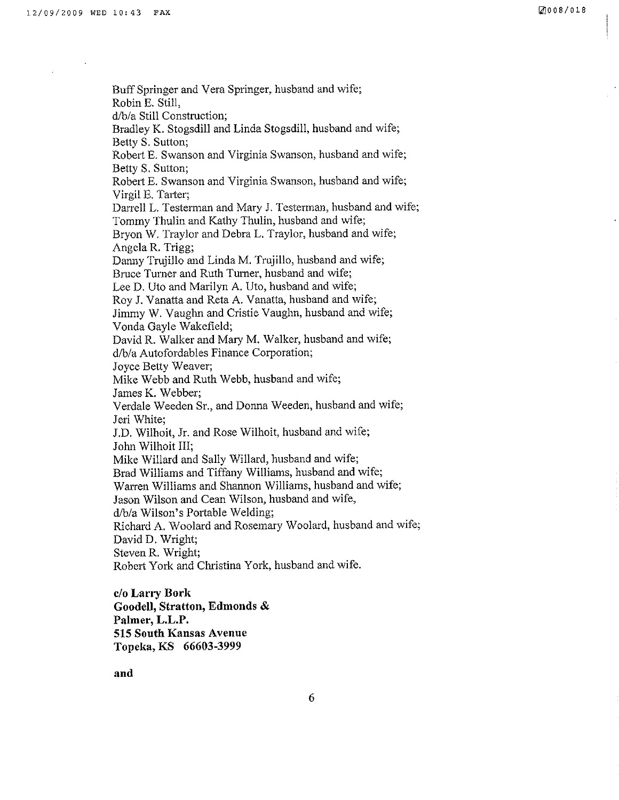Buff Springer and Vera Springer, husband and wife; RobinE. Still, d/b/a Still Construction; Bradley K, Stogsdill and Linda Stogsdill, husband and wife; Betty S. Sutton; Robert E. Swanson and Virginia Swanson, husband and wife; Betty S. Sutton; Robert E. Swanson and Virginia Swanson, husband and wife; Virgil E. Tarter; Darrell L. Testerman and Mary J. Testerman, husband and wife; Tommy Thulin and Kathy Thulin, husband and wife; Bryon W. Traylor and Debra L. Traylor, husband and wife; Angela R. Trigg; Danny Trujillo and Linda M. Trujillo, husband and wife; Bruce Tumer and Ruth Turner, husband and wife; Lee D, Uto and Marilyn A. Uto, husband and wife; Roy J. Vanatta and Reta A. Vanatta, husband and wife; Jimmy W. Vaughn and Cristie Vaughn, husband and wife; Vonda Gayle Wakefield; David R. Walker and Mary M. Walker, husband and wife; d/b/a Autofordables Finance Corporation; Joyce Betty Weaver; Mike Webb and Ruth Webb, husband and wife; James K. Webber; Verdale Weeden Sr., and Donna Weeden, husband and wife; Jeri White; J.D. Wilhoit, Jr. and Rose Wilhoit, husband and wife; John Wilhoit III; Mike Willard and Sally Willard, husband and wife; Brad Williams and TÍffany Williams, husband and wife; Warren Williams and Shannon Williams, husband and wife; Jason Wilson and Cean Wilson, husband and wife, d/b/a Wilson's Portable'Welding; Richard A. Woolard and Rosemary Woolard, husband and wife; David D. Wright; Steven R. Wright; Robert York and Christina York, husband and wife. c/o Larry Bork

Goodell, Stratton, Edmonds & Palmer, L.L.P. 515 South Kansas Avenue Topeka, KS 66603-3999

and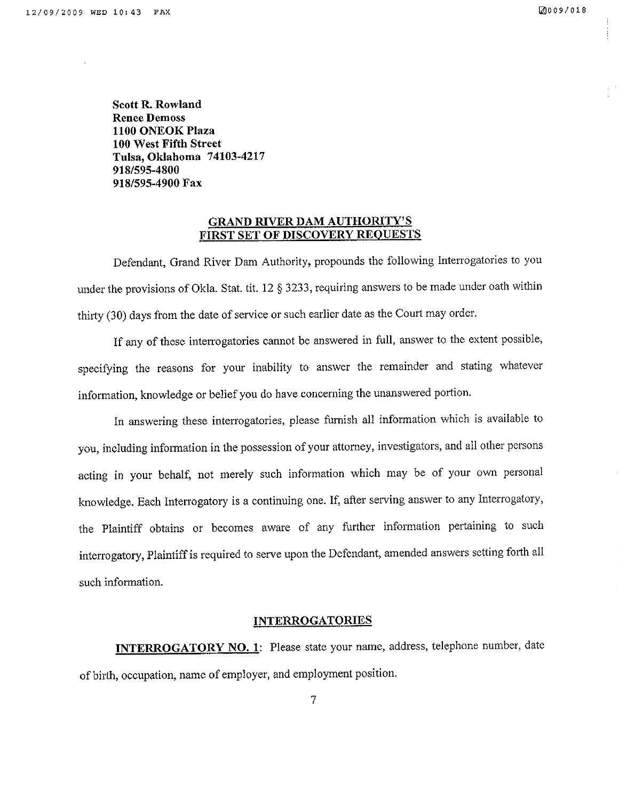Scott R. Rowland Renee Demoss 1100 ONEOK Plaza 100 West Fifth Street Tulsa, Oklahoma 7 4103-42t7 918/59s-4800 9181595-4900 Fax

## GRAND RIVER DAM AUTHORITY'S FIRST SET OF DISCOVERY REQUESTS

Defendant, Grand River Dam Authority, propounds the following Interrogatories to you under the provisions of Okla. Stat. tit. 12  $\S$  3233, requiring answers to be made under oath within thirfy (30) days from the date of service or such earlier date as the Court may order.

If any of these interrogatories cannot be answered in full, answer to the extent possible, specifying the reasons for your inability to answer the remainder and stating whatever information, knowledge or belief you do have concerning the unanswered portion.

In answering these interrogatories, please furnish all information which is available to you, including information in the possession of your attomey, investigators, and all other persons acting in your behalf, not merely such information which may be of your own personal knowledge. Each Interrogatory is a continuing one. If, after serving answer to any Interrogatory, the Plaintiff obtains or becomes aware of any further information pertaining to such interrogatory, Plaintiff is required to serve upon the Defendant, amended answers setting forth all such information.

### INTERROGATORIES

INTERROGATORY NO. 1: Please state your name, address, telephone number, date of birth, occupation, name of employer, and employment position.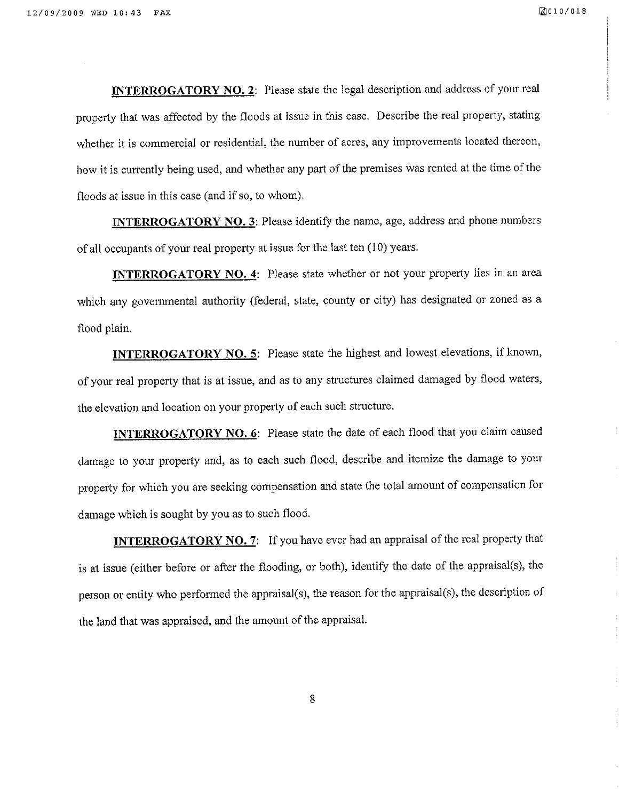**INTERROGATORY NO. 2:** Please state the legal description and address of your real property that was affected by the floods at issue in this case. Describe the real property, stating whether it is commercial or residential, the number of acres, any improvements located thereon, how it is currently being used, and whether any part of the premises was rented at the time of the floods at issue in this case (and if so, to whom).

INTERROGATORY NO. 3: Please identify the name, age, address and phone numbers of all occupants of your real property at issue for the last ten  $(10)$  years.

**INTERROGATORY NO. 4:** Please state whether or not your property lies in an area which any govemmental authority (federal, state, county or city) has designated or zoned as <sup>a</sup> flood plain,

**INTERROGATORY NO. 5:** Please state the highest and lowest elevations, if known, of your real property that is at issue, and as to any structures claimed damaged by flood waters, the elevation and location on your property of each such structure.

INTERROGATORY NO. 6: Please state the date of each flood that you claim caused damage to your property and, as to each such flood, describe and itemize the damage to your property for which you are seeking compensation and state the total amount of compensation for damage which is sought by you as to such flood.

**INTERROGATORY NO. 7:** If you have ever had an appraisal of the real property that is at issue (either before or after the flooding, or both), identify the date of the appraisal(s), the person or entity who performed the appraisal(s), the reason for the appraisal(s), the description of the land that was appraised, and the amount of the appraisal.

8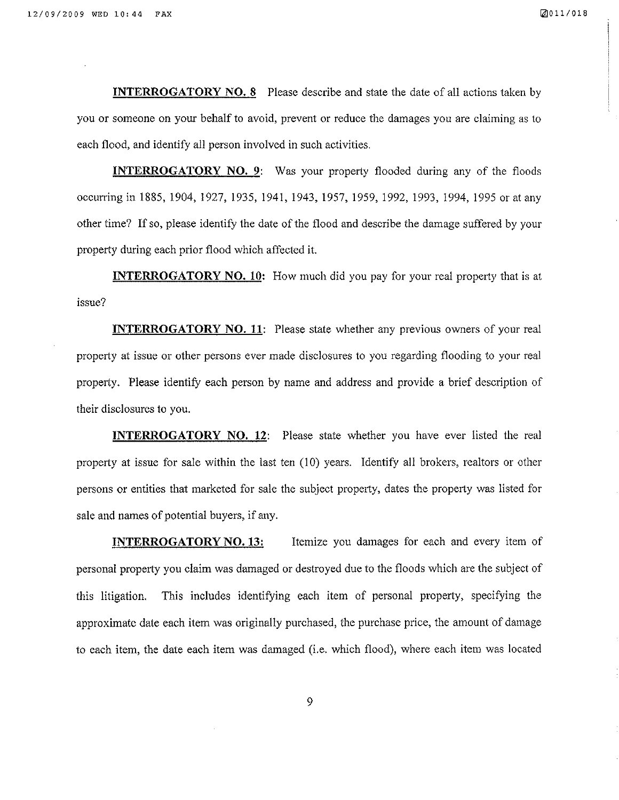INTERROGATORY NO. 8 Please describe and state the date of all actions taken by you or someone on your behalf to avoid, prevent or reduce the damages you are claiming as to each flood, and identify all person involved in such activities.

**INTERROGATORY NO. 9:** Was your property flooded during any of the floods occurring in 1885, 1904,1927, 1935,1941,1943,1957,1959,1992,1993,1994,1995 or at any other time? If so, please identify the date of the flood and describe the damage suffered by your property durìng each prior flood which affected it.

**INTERROGATORY NO. 10:** How much did you pay for your real property that is at issue?

INTERROGATORY NO. 11: Please state whether any previous owners of your real property at issue or other persons ever made disclosures to you regarding flooding to your real property. Please identify each person by name and address and provide a brief description of their disclosures to you.

**INTERROGATORY NO. 12:** Please state whether you have ever listed the real property at issue for sale within the last ten (10) years. Identify all brokers, realtors or other persons or entities that marketed for sale the subject property, dates the property was listed for sale and narnes of potential buyers, if any.

**INTERROGATORY NO. 13:** Itemize you damages for each and every item of personal properfy you claim was damaged or destroyed due to the floods which are the subject of this litigation. This includes identifying each item of personal property, specifying the approximate date each item was originally purchased, the purchase price, the amount of damage to each item, the date each item was damaged (i.e. which flood), where each item was located

9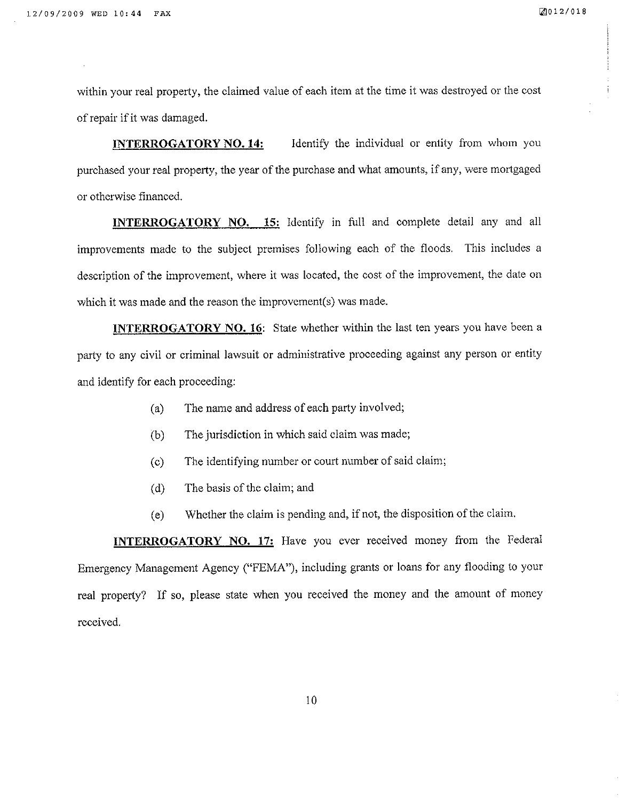wíthin your real property, the claimed value of each item at the time it was destroyed or the cost of repair if it was damaged.

INTERROGATORY NO. 14: Identify the individual or entity from whom you purchased your real property, the year of the purchase and what amounts, if any, were mortgaged or otherwise financed.

INTERROGATORY NO. 15: Identify in full and complete detail any and all improvements made to the subject premises following each of the floods. This includes <sup>a</sup> description of the improvement, where it was located, the cost of the improvement, the date on which it was made and the reason the improvement(s) was made.

INTERROGATORY NO. 16: State whether within the last ten years you have been a party to any civil or criminal lawsuit or administrative proceeding against any person or entity and identify for each proceeding:

- (a) The name and address of each party involved;
- (b) The jurisdiction in which said claim was made;
- (c) The identifying number or court number of said claim;
- (d) The basis of the claim; and
- (e) Whether the claim is pending and, if not, the disposition of the claim.

INTERROGATORY NO. 17: Have you ever received money from the Federal Emergency Management Agency ("FEMA'), including grants or loans for any flooding to your real property? If so, please state when you received the money and the amount of money received.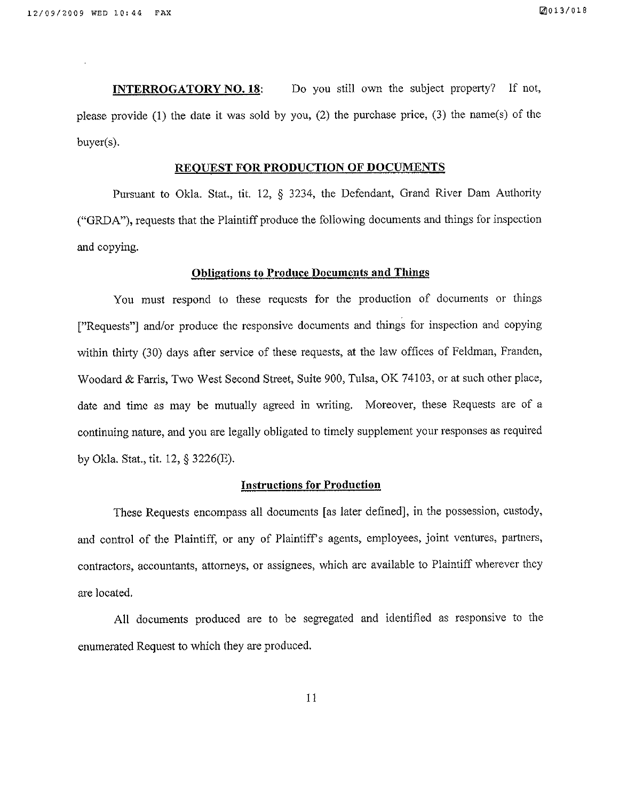Do you still own the subject property? If not, **INTERROGATORY NO. 18:** please provide (1) the date it was sold by you, (2) the purchase price, (3) the name(s) of the buyer(s).

## REQUEST FOR PRODUCTION OF DOCUMENTS

Pursuant to Okla. Stat., tit. 12, § 3234, the Defendant, Grand River Dam Authority ("GRDA"), requests that the Plaintiff produce the following documents and things for inspection and copying.

#### **Obligations to Produce Documents and Things**

You must respond to these requests for the production of documents or things ["Requests"] and/or produce the responsive documents and things for inspection and copying within thirty (30) days after service of these requests, at the law offices of Feldman, Franden, Woodard & Farris, Two West Second Street, Suite 900, Tulsa, OK 74103, or at such other place, date and time as may be mutually agreed in writing. Moreover, these Requests are of a continuing nature, and you are legally obligated to timely supplement your responses as required by Okla. Stat., tit. 12, § 3226(E).

#### **Instructions for Production**

These Requests encompass all documents [as later defined], in the possession, custody, and control of the Plaintiff, or any of Plaintiff's agents, employees, joint ventures, partners, contractors, accountants, attorneys, or assignees, which are available to Plaintiff wherever they are located.

All documents produced are to be segregated and identified as responsive to the enumerated Request to which they are produced.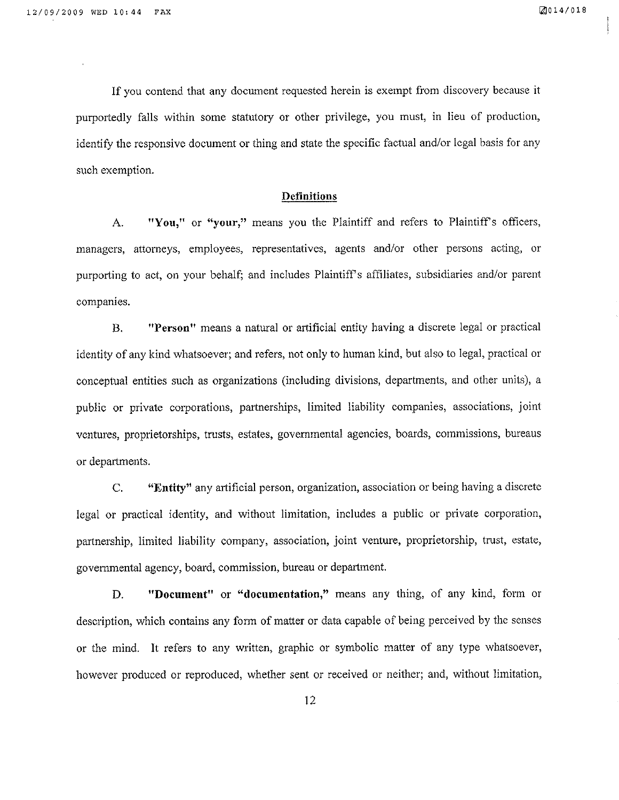If you contend that any document requested herein is exempt from discovery because it purportedly fatls within some statutory or other privilege, you must, in lieu of production, identify the responsive document or thing and state the specific factual and/or legal basis for any such exemption.

#### **Definitions**

A. "You," or "your," means you the Plaintiff and refers to Plaintiff's officers, managers, attorneys, employees, representatives, agents and/or other persons acting, or purporting to act, on your behalf; and includes Plaintiffs afftliates, subsidiaries and/or parent companies.

B. "Person" means a natural or artificial entity having a discrete legal or practical identity of any kind whatsoever; and refers, not only to human kind, but also to legal, practical or conceptual entities such as organizations (including divisíons, departments, and other units), a public or private corporations, parherships, limited liability companies, associations, joint ventures, proprietorships, trusts, estates, governmental agencies, boards, commissions, bureaus or departments.

C. **"Entity"** any artificial person, organization, association or being having a discrete legal or practical identity, and without limitation, includes a public or private corporation, partnership, limited liability company, association, joint venture, proprietorship, trust, estate, govemmental agency, board, commission, bureau or department.

D. **"Document"** or "documentation," means any thing, of any kind, form or description, which contains any form of matter or data capable of being perceived by the senses or the mind. It refers to any written, graphic or symbolic matter of any type whatsoever, however produced or reproduced, whether sent or received or neither; and, without limitation,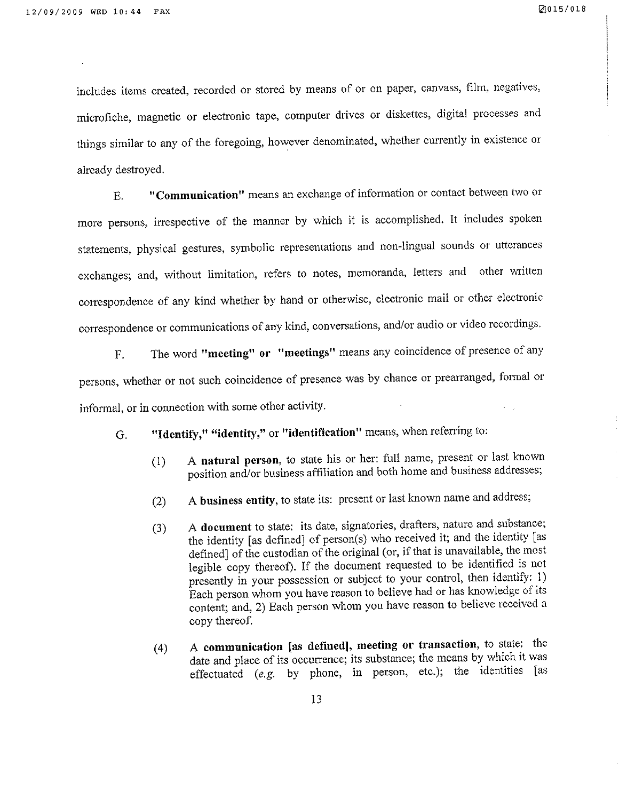includes items created, recorded or stored by means of or on paper, canvass, film, negatives, microfiche, magnetic or electronic tape, computer drives or diskettes, digital processes and things similar to any of the foregoing, however denominated, whether currently in existence or already destroyed.

"Communication" means an exchange of information or contact between two or E. more persons, irrespective of the manner by which it is accomplished. It includes spoken statements, physical gestures, symbolic representations and non-lingual sounds or utterances exchanges; and, without limitation, refers to notes, memoranda, letters and other written correspondence of any kind whether by hand or otherwise, electronic mail or other electronic correspondence or communications of any kind, conversations, and/or audio or video recordings.

The word "meeting" or "meetings" means any coincidence of presence of any  $\mathbf{F}$ . persons, whether or not such coincidence of presence was by chance or prearranged, formal or informal, or in connection with some other activity.

"Identify," "identity," or "identification" means, when referring to: G.

- A natural person, to state his or her: full name, present or last known  $(1)$ position and/or business affiliation and both home and business addresses;
- A business entity, to state its: present or last known name and address;  $(2)$
- A document to state: its date, signatories, drafters, nature and substance;  $(3)$ the identity [as defined] of person(s) who received it; and the identity [as defined] of the custodian of the original (or, if that is unavailable, the most legible copy thereof). If the document requested to be identified is not presently in your possession or subject to your control, then identify: 1) Each person whom you have reason to believe had or has knowledge of its content; and, 2) Each person whom you have reason to believe received a copy thereof.
- A communication [as defined], meeting or transaction, to state: the  $(4)$ date and place of its occurrence; its substance; the means by which it was effectuated (e.g. by phone, in person, etc.); the identities [as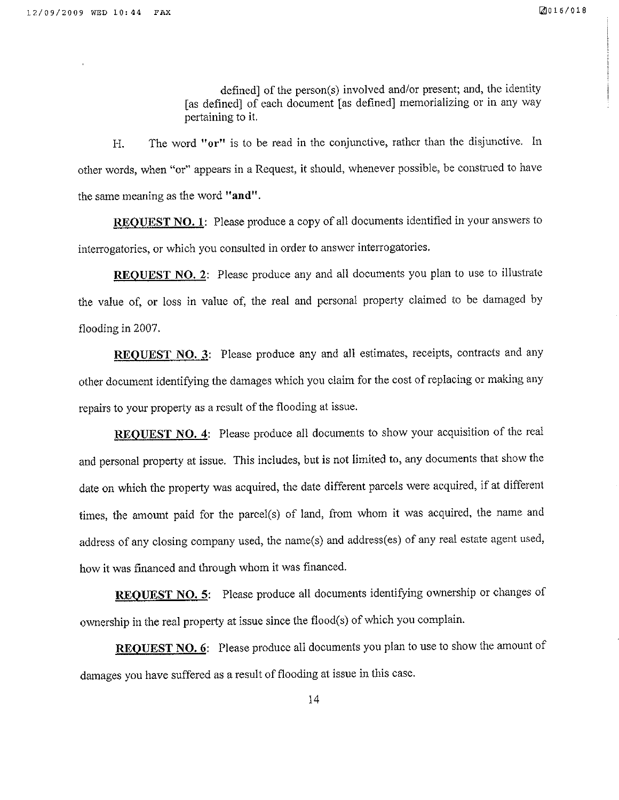defined] of the person(s) involved and/or present; and, the identity [as defined] of each document [as defined] memorializing or in any way pertaining to it,

H. The word "or" is to be read in the conjunctive, rather than the disjunctive. In other words, when "or" appears in a Request, it should, whenever possible, be construed to have the same meaning as the word "and".

REQUEST NO. 1: Please produce a copy of all documents identified in your answers to interrogatories, or which you consulted in order to answer interrogatories,

REOUEST NO. 2: Please produce any and all documents you plan to use to illustrate the value of, or loss in value of, the real and personal property claimed to be damaged by flooding in2007.

REQUEST NO. 3: Please produce any and all estimates, receipts, contracts and any other document identifying the damages which you claim for the cost of replacing or making any repaírs to your property as a result of the flooding at issue.

REQUEST NO. 4: Please produce all documents to show your acquisition of the real and personal property at issue. This includes, but is not limited to, any documents that show the date on which the property was acquired, the date different parcels were acquired, if at different times, the amount paid for the parcel(s) of land, from whom it was acquired, the name and address of any closing company used, the name(s) and address(es) of any real estate agent used, how it was financed and through whom it was financed.

REQUEST NO. 5: Please produce all documents identifying ownership or changes of ownership in the real property at issue since the flood(s) of which you complain.

REOUEST NO. 6: Please produce all documents you plan to use to show the amount of damages you have suffered as a result of flooding at issue in this case.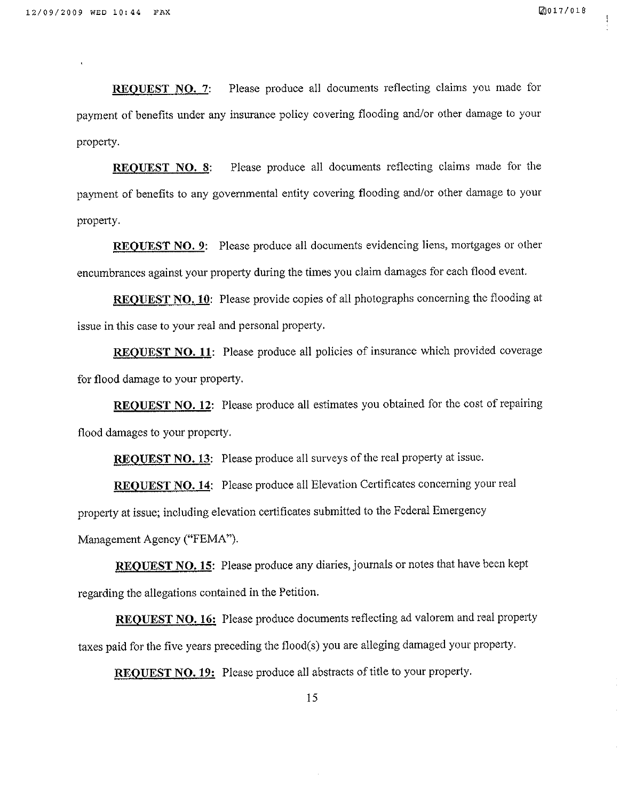REQUEST NO. 7: Please produce all documents reflecting claims you made for payment of benefits under any insurance policy covering flooding and/or other damage to your property.

REOUEST NO. 8: Please produce all documents reflecting claims made for the payment of benefits to any governmental entity covering flooding and/or other damage to your property.

REQUEST NO. 9: Please produce all documents evidencing liens, mortgages or other encumbrances against your property during the times you claim damages for each flood event.

REQUEST NO. 10: Please provide copies of all photographs concerning the flooding at issue in this case to your real and personal property.

REQUEST NO. 11: Please produce all policies of insurance which provided coverage for flood damage to your property.

REQUEST NO. 12: Please produce all estimates you obtained for the cost of repairing flood damages to your property.

REQUEST NO. 13: Please produce all surveys of the real property at issue.

REQUEST NO. 14: Please produce all Elevation Certificates concerning your real property at issue; including elevation certificates submitted to the Federal Emergency Management Agency ("FEMA").

REQUEST NO. 15: Please produce any diaries, journals or notes that have been kept regarding the allegations contained in the Petition.

REOUEST NO. 16: Please produce documents reflecting ad valorem and real property taxes paid for the five years preceding the flood(s) you are alleging damaged your property.

REQUEST NO. 19: Please produce all abstracts of title to your property.

15